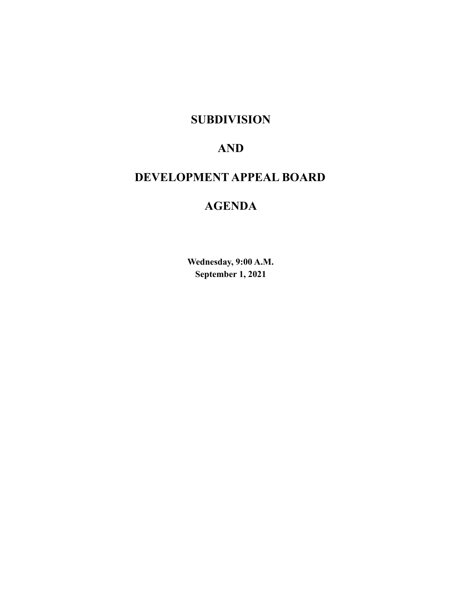## **SUBDIVISION**

# **AND**

# **DEVELOPMENT APPEAL BOARD**

# **AGENDA**

**Wednesday, 9:00 A.M. September 1, 2021**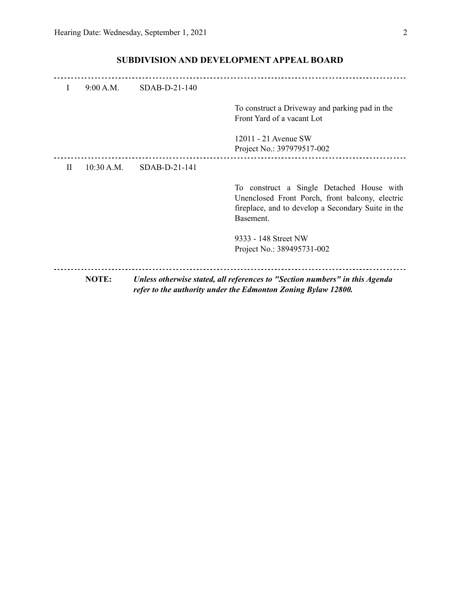|   | NOTE:      |               | Unless otherwise stated, all references to "Section numbers" in this Agenda<br>refer to the authority under the Edmonton Zoning Bylaw 12800.                    |
|---|------------|---------------|-----------------------------------------------------------------------------------------------------------------------------------------------------------------|
|   |            |               | 9333 - 148 Street NW<br>Project No.: 389495731-002                                                                                                              |
|   |            |               | To construct a Single Detached House with<br>Unenclosed Front Porch, front balcony, electric<br>fireplace, and to develop a Secondary Suite in the<br>Basement. |
| H | 10:30 A.M. | SDAB-D-21-141 |                                                                                                                                                                 |
|   |            |               | 12011 - 21 Avenue SW<br>Project No.: 397979517-002                                                                                                              |
|   |            |               | To construct a Driveway and parking pad in the<br>Front Yard of a vacant Lot                                                                                    |
| I | 9:00 A.M.  | SDAB-D-21-140 |                                                                                                                                                                 |
|   |            |               |                                                                                                                                                                 |

## **SUBDIVISION AND DEVELOPMENT APPEAL BOARD**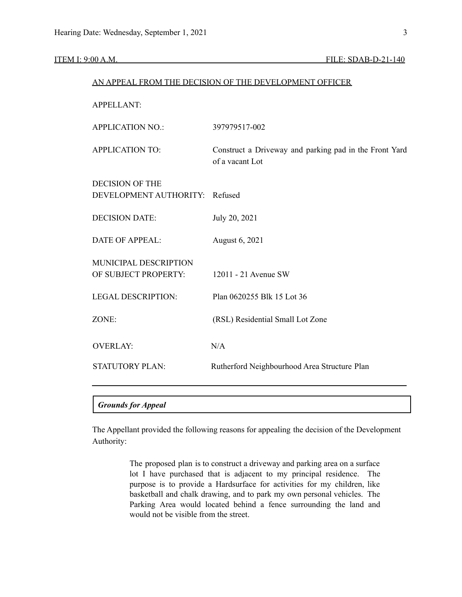#### **ITEM I: 9:00 A.M. FILE: SDAB-D-21-140**

| AN APPEAL FROM THE DECISION OF THE DEVELOPMENT OFFICER |                                                                           |  |  |  |
|--------------------------------------------------------|---------------------------------------------------------------------------|--|--|--|
| <b>APPELLANT:</b>                                      |                                                                           |  |  |  |
| <b>APPLICATION NO.:</b>                                | 397979517-002                                                             |  |  |  |
| <b>APPLICATION TO:</b>                                 | Construct a Driveway and parking pad in the Front Yard<br>of a vacant Lot |  |  |  |
| <b>DECISION OF THE</b><br>DEVELOPMENT AUTHORITY:       | Refused                                                                   |  |  |  |
| <b>DECISION DATE:</b>                                  | July 20, 2021                                                             |  |  |  |
| <b>DATE OF APPEAL:</b>                                 | August 6, 2021                                                            |  |  |  |
| MUNICIPAL DESCRIPTION<br>OF SUBJECT PROPERTY:          | 12011 - 21 Avenue SW                                                      |  |  |  |
| <b>LEGAL DESCRIPTION:</b>                              | Plan 0620255 Blk 15 Lot 36                                                |  |  |  |
| ZONE:                                                  | (RSL) Residential Small Lot Zone                                          |  |  |  |
| <b>OVERLAY:</b>                                        | N/A                                                                       |  |  |  |
| <b>STATUTORY PLAN:</b>                                 | Rutherford Neighbourhood Area Structure Plan                              |  |  |  |
| <b>Grounds for Appeal</b>                              |                                                                           |  |  |  |
|                                                        |                                                                           |  |  |  |

The Appellant provided the following reasons for appealing the decision of the Development Authority:

> The proposed plan is to construct a driveway and parking area on a surface lot I have purchased that is adjacent to my principal residence. The purpose is to provide a Hardsurface for activities for my children, like basketball and chalk drawing, and to park my own personal vehicles. The Parking Area would located behind a fence surrounding the land and would not be visible from the street.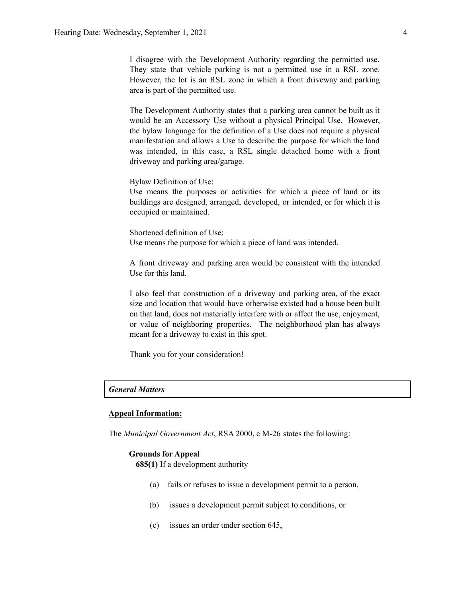I disagree with the Development Authority regarding the permitted use. They state that vehicle parking is not a permitted use in a RSL zone. However, the lot is an RSL zone in which a front driveway and parking area is part of the permitted use.

The Development Authority states that a parking area cannot be built as it would be an Accessory Use without a physical Principal Use. However, the bylaw language for the definition of a Use does not require a physical manifestation and allows a Use to describe the purpose for which the land was intended, in this case, a RSL single detached home with a front driveway and parking area/garage.

Bylaw Definition of Use:

Use means the purposes or activities for which a piece of land or its buildings are designed, arranged, developed, or intended, or for which it is occupied or maintained.

Shortened definition of Use: Use means the purpose for which a piece of land was intended.

A front driveway and parking area would be consistent with the intended Use for this land.

I also feel that construction of a driveway and parking area, of the exact size and location that would have otherwise existed had a house been built on that land, does not materially interfere with or affect the use, enjoyment, or value of neighboring properties. The neighborhood plan has always meant for a driveway to exist in this spot.

Thank you for your consideration!

### *General Matters*

#### **Appeal Information:**

The *Municipal Government Act*, RSA 2000, c M-26 states the following:

#### **Grounds for Appeal**

**685(1)** If a development authority

- (a) fails or refuses to issue a development permit to a person,
- (b) issues a development permit subject to conditions, or
- (c) issues an order under section 645,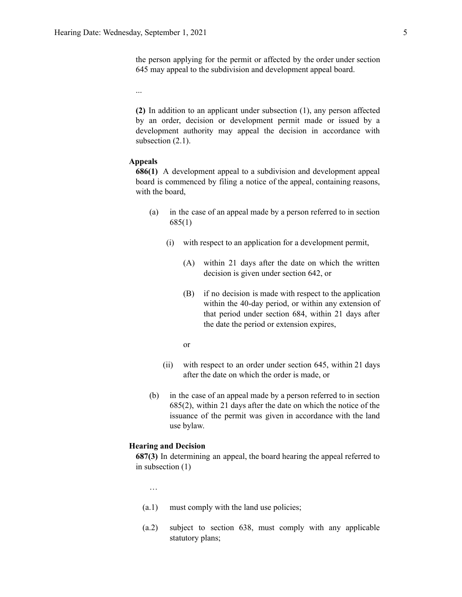the person applying for the permit or affected by the order under section 645 may appeal to the subdivision and development appeal board.

...

**(2)** In addition to an applicant under subsection (1), any person affected by an order, decision or development permit made or issued by a development authority may appeal the decision in accordance with subsection  $(2.1)$ .

#### **Appeals**

**686(1)** A development appeal to a subdivision and development appeal board is commenced by filing a notice of the appeal, containing reasons, with the board,

- (a) in the case of an appeal made by a person referred to in section 685(1)
	- (i) with respect to an application for a development permit,
		- (A) within 21 days after the date on which the written decision is given under section 642, or
		- (B) if no decision is made with respect to the application within the 40-day period, or within any extension of that period under section 684, within 21 days after the date the period or extension expires,
		- or
	- (ii) with respect to an order under section 645, within 21 days after the date on which the order is made, or
- (b) in the case of an appeal made by a person referred to in section 685(2), within 21 days after the date on which the notice of the issuance of the permit was given in accordance with the land use bylaw.

#### **Hearing and Decision**

**687(3)** In determining an appeal, the board hearing the appeal referred to in subsection (1)

…

- (a.1) must comply with the land use policies;
- (a.2) subject to section 638, must comply with any applicable statutory plans;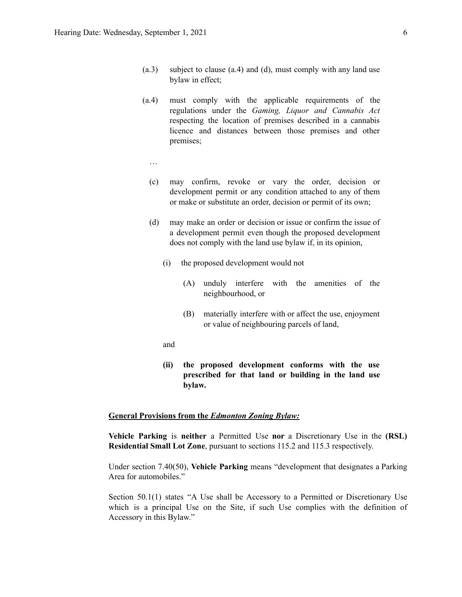- (a.3) subject to clause (a.4) and (d), must comply with any land use bylaw in effect;
- (a.4) must comply with the applicable requirements of the regulations under the *Gaming, Liquor and Cannabis Act* respecting the location of premises described in a cannabis licence and distances between those premises and other premises;
- …
- (c) may confirm, revoke or vary the order, decision or development permit or any condition attached to any of them or make or substitute an order, decision or permit of its own;
- (d) may make an order or decision or issue or confirm the issue of a development permit even though the proposed development does not comply with the land use bylaw if, in its opinion,
	- (i) the proposed development would not
		- (A) unduly interfere with the amenities of the neighbourhood, or
		- (B) materially interfere with or affect the use, enjoyment or value of neighbouring parcels of land,
	- and
	- **(ii) the proposed development conforms with the use prescribed for that land or building in the land use bylaw.**

#### **General Provisions from the** *Edmonton Zoning Bylaw:*

**Vehicle Parking** is **neither** a Permitted Use **nor** a Discretionary Use in the **(RSL) Residential Small Lot Zone**, pursuant to sections 115.2 and 115.3 respectively.

Under section 7.40(50), **Vehicle Parking** means "development that designates a Parking Area for automobiles."

Section 50.1(1) states "A Use shall be Accessory to a Permitted or Discretionary Use which is a principal Use on the Site, if such Use complies with the definition of Accessory in this Bylaw."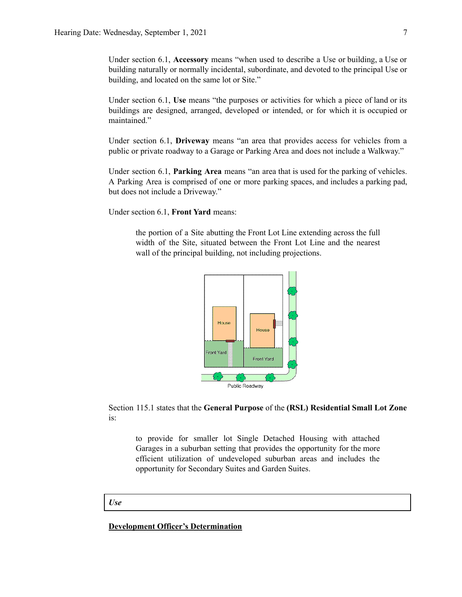Under section 6.1, **Accessory** means "when used to describe a Use or building, a Use or building naturally or normally incidental, subordinate, and devoted to the principal Use or building, and located on the same lot or Site."

Under section 6.1, **Use** means "the purposes or activities for which a piece of land or its buildings are designed, arranged, developed or intended, or for which it is occupied or maintained."

Under section 6.1, **Driveway** means "an area that provides access for vehicles from a public or private roadway to a Garage or Parking Area and does not include a Walkway."

Under section 6.1, **Parking Area** means "an area that is used for the parking of vehicles. A Parking Area is comprised of one or more parking spaces, and includes a parking pad, but does not include a Driveway."

Under section 6.1, **Front Yard** means:

the portion of a Site abutting the Front Lot Line extending across the full width of the Site, situated between the Front Lot Line and the nearest wall of the principal building, not including projections.



Section 115.1 states that the **General Purpose** of the **(RSL) Residential Small Lot Zone** is:

to provide for smaller lot Single Detached Housing with attached Garages in a suburban setting that provides the opportunity for the more efficient utilization of undeveloped suburban areas and includes the opportunity for Secondary Suites and Garden Suites.

#### *Use*

#### **Development Officer's Determination**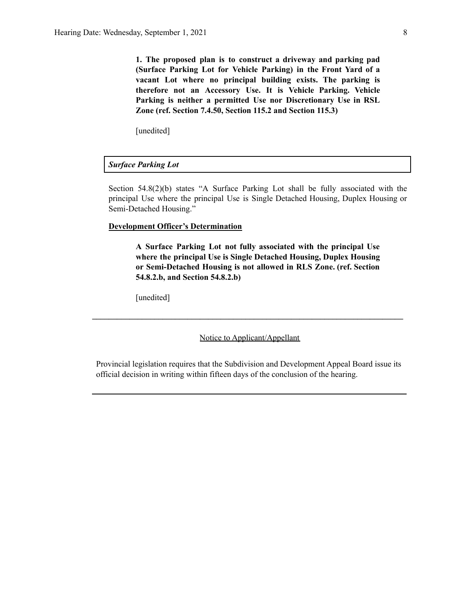**1. The proposed plan is to construct a driveway and parking pad (Surface Parking Lot for Vehicle Parking) in the Front Yard of a vacant Lot where no principal building exists. The parking is therefore not an Accessory Use. It is Vehicle Parking. Vehicle Parking is neither a permitted Use nor Discretionary Use in RSL Zone (ref. Section 7.4.50, Section 115.2 and Section 115.3)**

[unedited]

#### *Surface Parking Lot*

Section 54.8(2)(b) states "A Surface Parking Lot shall be fully associated with the principal Use where the principal Use is Single Detached Housing, Duplex Housing or Semi-Detached Housing."

#### **Development Officer's Determination**

**A Surface Parking Lot not fully associated with the principal Use where the principal Use is Single Detached Housing, Duplex Housing or Semi-Detached Housing is not allowed in RLS Zone. (ref. Section 54.8.2.b, and Section 54.8.2.b)**

[unedited]

Notice to Applicant/Appellant

**\_\_\_\_\_\_\_\_\_\_\_\_\_\_\_\_\_\_\_\_\_\_\_\_\_\_\_\_\_\_\_\_\_\_\_\_\_\_\_\_\_\_\_\_\_\_\_\_\_\_\_\_\_\_\_\_\_\_\_\_\_\_\_\_\_\_\_\_\_\_\_\_\_\_\_**

Provincial legislation requires that the Subdivision and Development Appeal Board issue its official decision in writing within fifteen days of the conclusion of the hearing.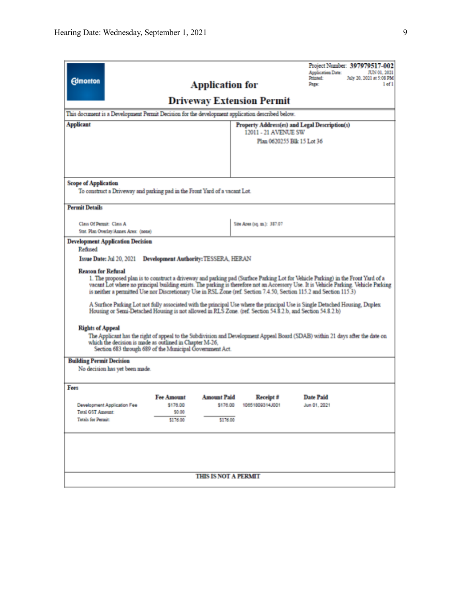| Project Number: 397979517-002<br><b>Application Date:</b><br>JUN 01, 2021<br>Printed:<br>July 20, 2021 at 5:08 PM<br><b>Edmonton</b><br><b>Application for</b><br>Page:<br>$1$ of $1$<br><b>Driveway Extension Permit</b><br>This document is a Development Permit Decision for the development application described below.                                                                                                                                                                                                                                                                                                                                                                                                                                                                                                                                                                                                                                                                                                                                                          |                                                     |                                            |                              |                                                                             |  |  |
|---------------------------------------------------------------------------------------------------------------------------------------------------------------------------------------------------------------------------------------------------------------------------------------------------------------------------------------------------------------------------------------------------------------------------------------------------------------------------------------------------------------------------------------------------------------------------------------------------------------------------------------------------------------------------------------------------------------------------------------------------------------------------------------------------------------------------------------------------------------------------------------------------------------------------------------------------------------------------------------------------------------------------------------------------------------------------------------|-----------------------------------------------------|--------------------------------------------|------------------------------|-----------------------------------------------------------------------------|--|--|
| <b>Applicant</b>                                                                                                                                                                                                                                                                                                                                                                                                                                                                                                                                                                                                                                                                                                                                                                                                                                                                                                                                                                                                                                                                      |                                                     |                                            | 12011 - 21 AVENUE SW         | Property Address(es) and Legal Description(s)<br>Plan 0620255 Blk 15 Lot 36 |  |  |
| <b>Scope of Application</b><br>To construct a Driveway and parking pad in the Front Yard of a vacant Lot.<br><b>Permit Details</b>                                                                                                                                                                                                                                                                                                                                                                                                                                                                                                                                                                                                                                                                                                                                                                                                                                                                                                                                                    |                                                     |                                            |                              |                                                                             |  |  |
| Class Of Permit: Class A<br>Stat. Plan Overlay/Annex Area: (none)                                                                                                                                                                                                                                                                                                                                                                                                                                                                                                                                                                                                                                                                                                                                                                                                                                                                                                                                                                                                                     |                                                     |                                            | Site Area (sq. m.): 387.07   |                                                                             |  |  |
| <b>Development Application Decision</b><br>Refined<br>Issue Date: Jul 20, 2021 Development Authority: TESSERA, HERAN<br><b>Reason for Refusal</b><br>1. The proposed plan is to construct a driveway and parking pad (Surface Parking Lot for Vehicle Parking) in the Front Yard of a<br>vacant Lot where no principal building exists. The parking is therefore not an Accessory Use. It is Vehicle Parking, Vehicle Parking<br>is neither a permitted Use nor Discretionary Use in RSL Zone (ref. Section 7.4.50, Section 115.2 and Section 115.3)<br>A Surface Parking Lot not fully associated with the principal Use where the principal Use is Single Detached Housing, Duplex<br>Housing or Semi-Detached Housing is not allowed in RLS Zone. (ref. Section 54.8.2.b, and Section 54.8.2.b)<br><b>Rights of Appeal</b><br>The Applicant has the right of appeal to the Subdivision and Development Appeal Board (SDAB) within 21 days after the date on<br>which the decision is made as outlined in Chapter M-26,<br>Section 683 through 689 of the Municipal Government Act. |                                                     |                                            |                              |                                                                             |  |  |
| <b>Building Permit Decision</b><br>No decision has yet been made.                                                                                                                                                                                                                                                                                                                                                                                                                                                                                                                                                                                                                                                                                                                                                                                                                                                                                                                                                                                                                     |                                                     |                                            |                              |                                                                             |  |  |
| Fees<br>Development Application Fee<br><b>Total GST Amount:</b><br>Totals for Permit:                                                                                                                                                                                                                                                                                                                                                                                                                                                                                                                                                                                                                                                                                                                                                                                                                                                                                                                                                                                                 | <b>Fee Amount</b><br>\$176.00<br>\$0.00<br>\$176.00 | <b>Amount Paid</b><br>\$176.00<br>\$176.00 | Receipt #<br>10651809314J001 | <b>Date Paid</b><br>Jun 01, 2021                                            |  |  |
| <b>THIS IS NOT A PERMIT</b>                                                                                                                                                                                                                                                                                                                                                                                                                                                                                                                                                                                                                                                                                                                                                                                                                                                                                                                                                                                                                                                           |                                                     |                                            |                              |                                                                             |  |  |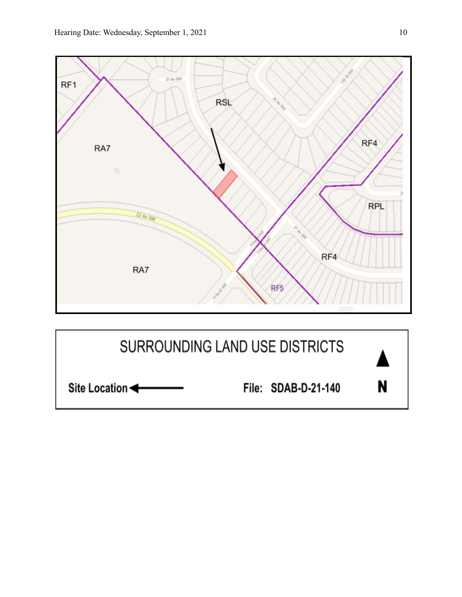

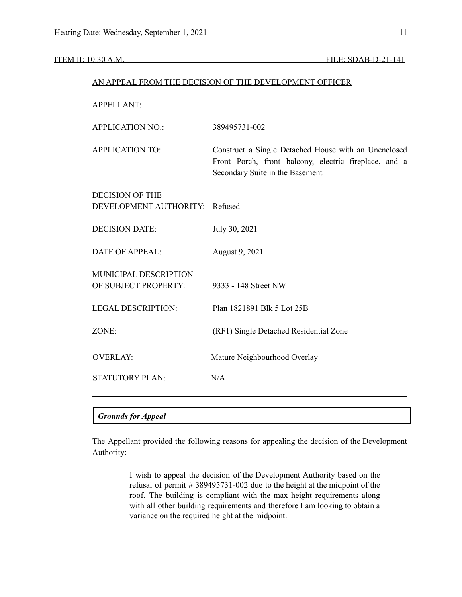#### ITEM II: 10:30 A.M. FILE: SDAB-D-21-141

|                           | AN APPEAL FROM THE DECISION OF THE DEVELOPMENT OFFICER                                                                                           |
|---------------------------|--------------------------------------------------------------------------------------------------------------------------------------------------|
| <b>APPELLANT:</b>         |                                                                                                                                                  |
| <b>APPLICATION NO.:</b>   | 389495731-002                                                                                                                                    |
| <b>APPLICATION TO:</b>    | Construct a Single Detached House with an Unenclosed<br>Front Porch, front balcony, electric fireplace, and a<br>Secondary Suite in the Basement |
| <b>DECISION OF THE</b>    |                                                                                                                                                  |
| DEVELOPMENT AUTHORITY:    | Refused                                                                                                                                          |
| <b>DECISION DATE:</b>     | July 30, 2021                                                                                                                                    |
| <b>DATE OF APPEAL:</b>    | August 9, 2021                                                                                                                                   |
| MUNICIPAL DESCRIPTION     |                                                                                                                                                  |
| OF SUBJECT PROPERTY:      | 9333 - 148 Street NW                                                                                                                             |
| <b>LEGAL DESCRIPTION:</b> | Plan 1821891 Blk 5 Lot 25B                                                                                                                       |
| ZONE:                     | (RF1) Single Detached Residential Zone                                                                                                           |
| <b>OVERLAY:</b>           | Mature Neighbourhood Overlay                                                                                                                     |
| <b>STATUTORY PLAN:</b>    | N/A                                                                                                                                              |
|                           |                                                                                                                                                  |
| <b>Grounds for Appeal</b> |                                                                                                                                                  |

The Appellant provided the following reasons for appealing the decision of the Development Authority:

> I wish to appeal the decision of the Development Authority based on the refusal of permit # 389495731-002 due to the height at the midpoint of the roof. The building is compliant with the max height requirements along with all other building requirements and therefore I am looking to obtain a variance on the required height at the midpoint.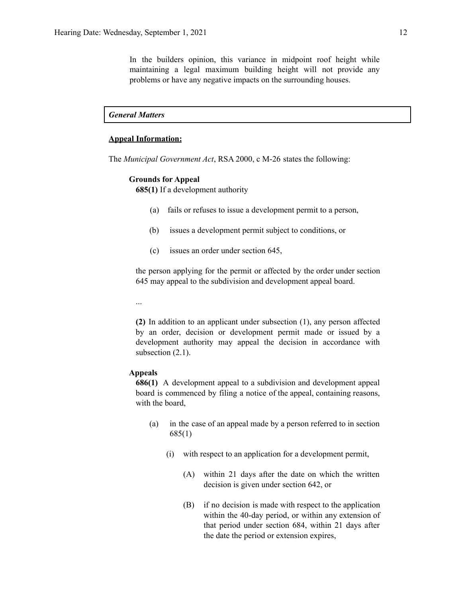In the builders opinion, this variance in midpoint roof height while maintaining a legal maximum building height will not provide any problems or have any negative impacts on the surrounding houses.

*General Matters*

#### **Appeal Information:**

The *Municipal Government Act*, RSA 2000, c M-26 states the following:

#### **Grounds for Appeal**

**685(1)** If a development authority

- (a) fails or refuses to issue a development permit to a person,
- (b) issues a development permit subject to conditions, or
- (c) issues an order under section 645,

the person applying for the permit or affected by the order under section 645 may appeal to the subdivision and development appeal board.

...

**(2)** In addition to an applicant under subsection (1), any person affected by an order, decision or development permit made or issued by a development authority may appeal the decision in accordance with subsection  $(2.1)$ .

### **Appeals**

**686(1)** A development appeal to a subdivision and development appeal board is commenced by filing a notice of the appeal, containing reasons, with the board,

- (a) in the case of an appeal made by a person referred to in section 685(1)
	- (i) with respect to an application for a development permit,
		- (A) within 21 days after the date on which the written decision is given under section 642, or
		- (B) if no decision is made with respect to the application within the 40-day period, or within any extension of that period under section 684, within 21 days after the date the period or extension expires,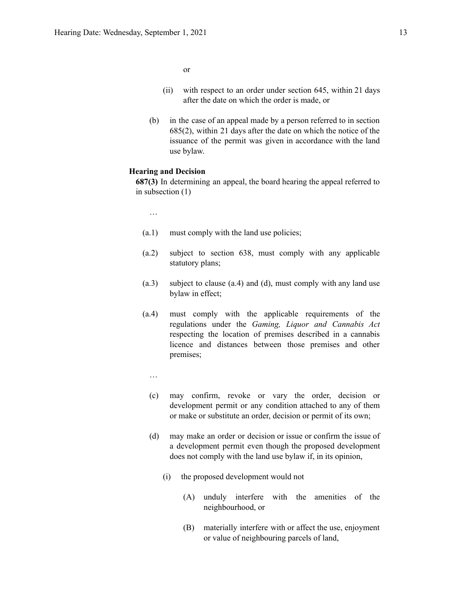or

- (ii) with respect to an order under section 645, within 21 days after the date on which the order is made, or
- (b) in the case of an appeal made by a person referred to in section 685(2), within 21 days after the date on which the notice of the issuance of the permit was given in accordance with the land use bylaw.

#### **Hearing and Decision**

**687(3)** In determining an appeal, the board hearing the appeal referred to in subsection (1)

…

- (a.1) must comply with the land use policies;
- (a.2) subject to section 638, must comply with any applicable statutory plans;
- (a.3) subject to clause (a.4) and (d), must comply with any land use bylaw in effect;
- (a.4) must comply with the applicable requirements of the regulations under the *Gaming, Liquor and Cannabis Act* respecting the location of premises described in a cannabis licence and distances between those premises and other premises;
	- …
	- (c) may confirm, revoke or vary the order, decision or development permit or any condition attached to any of them or make or substitute an order, decision or permit of its own;
	- (d) may make an order or decision or issue or confirm the issue of a development permit even though the proposed development does not comply with the land use bylaw if, in its opinion,
		- (i) the proposed development would not
			- (A) unduly interfere with the amenities of the neighbourhood, or
			- (B) materially interfere with or affect the use, enjoyment or value of neighbouring parcels of land,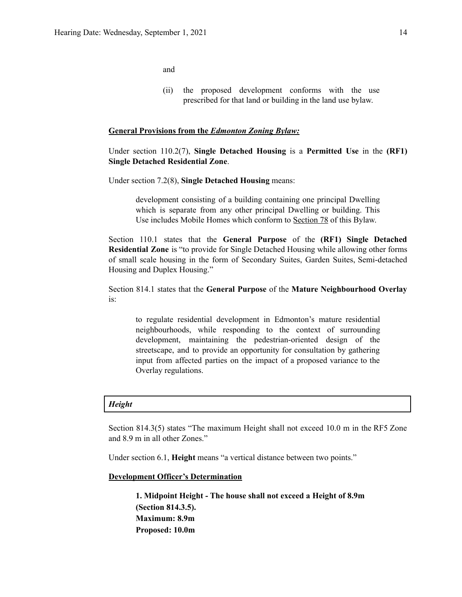and

(ii) the proposed development conforms with the use prescribed for that land or building in the land use bylaw.

#### **General Provisions from the** *Edmonton Zoning Bylaw:*

Under section 110.2(7), **Single Detached Housing** is a **Permitted Use** in the **(RF1) Single Detached Residential Zone**.

Under section 7.2(8), **Single Detached Housing** means:

development consisting of a building containing one principal Dwelling which is separate from any other principal Dwelling or building. This Use includes Mobile Homes which conform to Section 78 of this Bylaw.

Section 110.1 states that the **General Purpose** of the **(RF1) Single Detached Residential Zone** is "to provide for Single Detached Housing while allowing other forms of small scale housing in the form of Secondary Suites, Garden Suites, Semi-detached Housing and Duplex Housing."

Section 814.1 states that the **General Purpose** of the **Mature Neighbourhood Overlay** is:

to regulate residential development in Edmonton's mature residential neighbourhoods, while responding to the context of surrounding development, maintaining the pedestrian-oriented design of the streetscape, and to provide an opportunity for consultation by gathering input from affected parties on the impact of a proposed variance to the Overlay regulations.

#### *Height*

Section 814.3(5) states "The maximum Height shall not exceed 10.0 m in the RF5 Zone and 8.9 m in all other Zones."

Under section 6.1, **Height** means "a vertical distance between two points."

### **Development Officer's Determination**

**1. Midpoint Height - The house shall not exceed a Height of 8.9m (Section 814.3.5). Maximum: 8.9m Proposed: 10.0m**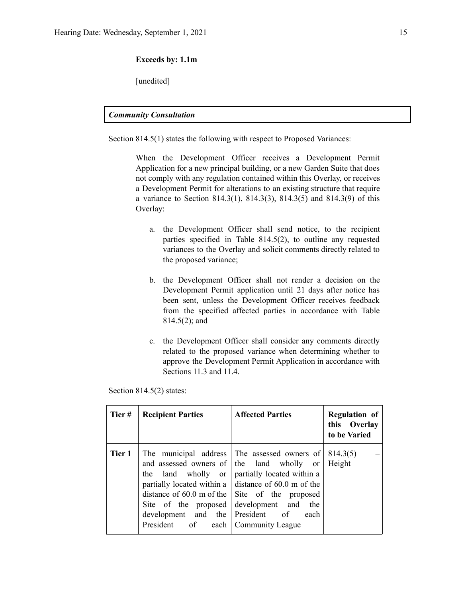#### **Exceeds by: 1.1m**

[unedited]

#### *Community Consultation*

Section 814.5(1) states the following with respect to Proposed Variances:

When the Development Officer receives a Development Permit Application for a new principal building, or a new Garden Suite that does not comply with any regulation contained within this Overlay, or receives a Development Permit for alterations to an existing structure that require a variance to Section 814.3(1), 814.3(3), 814.3(5) and 814.3(9) of this Overlay:

- a. the Development Officer shall send notice, to the recipient parties specified in Table 814.5(2), to outline any requested variances to the Overlay and solicit comments directly related to the proposed variance;
- b. the Development Officer shall not render a decision on the Development Permit application until 21 days after notice has been sent, unless the Development Officer receives feedback from the specified affected parties in accordance with Table 814.5(2); and
- c. the Development Officer shall consider any comments directly related to the proposed variance when determining whether to approve the Development Permit Application in accordance with Sections 11.3 and 11.4.

Section 814.5(2) states:

| Tier#  | <b>Recipient Parties</b>                                                                                                      | <b>Affected Parties</b>                                                                                                                                                                                                                                                                   | <b>Regulation of</b><br>this Overlay<br>to be Varied |
|--------|-------------------------------------------------------------------------------------------------------------------------------|-------------------------------------------------------------------------------------------------------------------------------------------------------------------------------------------------------------------------------------------------------------------------------------------|------------------------------------------------------|
| Tier 1 | and assessed owners of<br>the land wholly or<br>Site of the proposed<br>development and the President of<br>President of each | The municipal address The assessed owners of<br>the land wholly or<br>partially located within a<br>partially located within a $\vert$ distance of 60.0 m of the<br>distance of $60.0$ m of the $\vert$ Site of the proposed<br>development and<br>the<br>each<br><b>Community League</b> | 814.3(5)<br>Height                                   |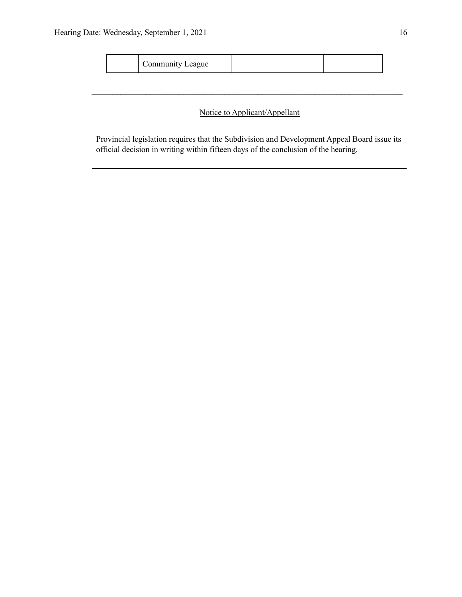| eague |  |  |
|-------|--|--|
|-------|--|--|

## Notice to Applicant/Appellant

**\_\_\_\_\_\_\_\_\_\_\_\_\_\_\_\_\_\_\_\_\_\_\_\_\_\_\_\_\_\_\_\_\_\_\_\_\_\_\_\_\_\_\_\_\_\_\_\_\_\_\_\_\_\_\_\_\_\_\_\_\_\_\_\_\_\_\_\_\_\_\_\_\_\_\_**

Provincial legislation requires that the Subdivision and Development Appeal Board issue its official decision in writing within fifteen days of the conclusion of the hearing.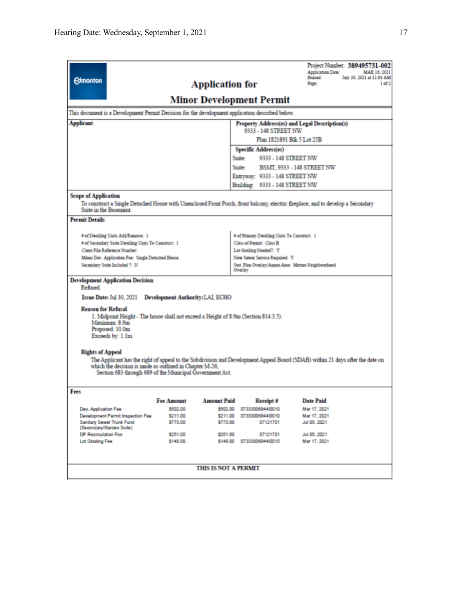|                                                                                                                                                                                                                                                      |                                         |                             |                                                                | Project Number: 389495731-002<br><b>Application Date:</b><br>MAR 16, 2021                                                       |  |  |  |
|------------------------------------------------------------------------------------------------------------------------------------------------------------------------------------------------------------------------------------------------------|-----------------------------------------|-----------------------------|----------------------------------------------------------------|---------------------------------------------------------------------------------------------------------------------------------|--|--|--|
| <b>Edmonton</b>                                                                                                                                                                                                                                      |                                         | <b>Application for</b>      | Printed:<br>July 30, 2021 at 11:04 AM<br>1 of 2<br>Page:       |                                                                                                                                 |  |  |  |
| <b>Minor Development Permit</b>                                                                                                                                                                                                                      |                                         |                             |                                                                |                                                                                                                                 |  |  |  |
| This document is a Development Permit Decision for the development application described below.                                                                                                                                                      |                                         |                             |                                                                |                                                                                                                                 |  |  |  |
| <b>Applicant</b>                                                                                                                                                                                                                                     |                                         |                             |                                                                | Property Address(es) and Legal Description(s)                                                                                   |  |  |  |
|                                                                                                                                                                                                                                                      |                                         |                             | 9333 - 148 STREET NW                                           |                                                                                                                                 |  |  |  |
|                                                                                                                                                                                                                                                      |                                         |                             | Plan 1821891 Blk 5 Lot 25B                                     |                                                                                                                                 |  |  |  |
|                                                                                                                                                                                                                                                      |                                         |                             | Specific Address(es)                                           |                                                                                                                                 |  |  |  |
|                                                                                                                                                                                                                                                      |                                         |                             | Suite:<br>9333 - 148 STREET NW                                 |                                                                                                                                 |  |  |  |
|                                                                                                                                                                                                                                                      |                                         |                             | Suite:                                                         | <b>BSMT, 9333 - 148 STREET NW</b>                                                                                               |  |  |  |
|                                                                                                                                                                                                                                                      |                                         |                             | Entryway: 9333 - 148 STREET NW                                 |                                                                                                                                 |  |  |  |
|                                                                                                                                                                                                                                                      |                                         |                             | Building: 9333 - 148 STREET NW                                 |                                                                                                                                 |  |  |  |
| <b>Scope of Application</b>                                                                                                                                                                                                                          |                                         |                             |                                                                |                                                                                                                                 |  |  |  |
| Suite in the Basement.                                                                                                                                                                                                                               |                                         |                             |                                                                | To construct a Single Detached House with Unenclosed Front Porch, front balcony, electric fireplace, and to develop a Secondary |  |  |  |
| <b>Permit Details</b>                                                                                                                                                                                                                                |                                         |                             |                                                                |                                                                                                                                 |  |  |  |
| # of Dwelling Units Add/Remove: 1                                                                                                                                                                                                                    |                                         |                             | # of Primary Dwelling Units To Construct: 1                    |                                                                                                                                 |  |  |  |
| # of Secondary Suite Dwelling Units To Construct: 1                                                                                                                                                                                                  |                                         |                             | Class of Permit: Class B                                       |                                                                                                                                 |  |  |  |
| Client File Reference Number:                                                                                                                                                                                                                        |                                         |                             | Lot Grading Needed?: Y                                         |                                                                                                                                 |  |  |  |
| Minor Dev. Application Fee: Single Detached House                                                                                                                                                                                                    |                                         |                             | New Sewer Service Required: Y                                  |                                                                                                                                 |  |  |  |
| Secondary Suite Included ?: N                                                                                                                                                                                                                        |                                         |                             | Stat. Plan Overlay/Annex Area: Mature Neighbourhood<br>Overlay |                                                                                                                                 |  |  |  |
| <b>Development Application Decision</b><br>Refused                                                                                                                                                                                                   |                                         |                             |                                                                |                                                                                                                                 |  |  |  |
| Issue Date: Jul 30, 2021                                                                                                                                                                                                                             | <b>Development Authority: LAI, ECHO</b> |                             |                                                                |                                                                                                                                 |  |  |  |
| <b>Reason for Refusal</b><br>1. Midpoint Height - The house shall not exceed a Height of 8.9m (Section 814.3.5).<br>Maximum: 8.9m<br>Proposed: 10.0m<br>Exceeds by: 1.1m                                                                             |                                         |                             |                                                                |                                                                                                                                 |  |  |  |
| <b>Rights of Appeal</b>                                                                                                                                                                                                                              |                                         |                             |                                                                |                                                                                                                                 |  |  |  |
| The Applicant has the right of appeal to the Subdivision and Development Appeal Board (SDAB) within 21 days after the date on<br>which the decision is made as outlined in Chapter M-26.<br>Section 683 through 689 of the Municipal Government Act. |                                         |                             |                                                                |                                                                                                                                 |  |  |  |
| Fees                                                                                                                                                                                                                                                 |                                         |                             |                                                                |                                                                                                                                 |  |  |  |
|                                                                                                                                                                                                                                                      | <b>Fee Amount</b>                       | <b>Amount Paid</b>          | Receipt #                                                      | <b>Date Paid</b>                                                                                                                |  |  |  |
| Dev. Application Fee                                                                                                                                                                                                                                 | \$502.00<br>\$211.00                    | \$502.00                    | 0733300684410010<br>0733300684410010                           | Mar 17, 2021                                                                                                                    |  |  |  |
| Development Permit Inspection Fee<br>Sanitary Sewer Trunk Fund<br>(Secondary/Garden Suite)                                                                                                                                                           | \$773.00                                | \$211.00<br>\$773.00        | 07121701                                                       | Mar 17, 2021<br>Jul 05, 2021                                                                                                    |  |  |  |
| DP Recirculation Fee                                                                                                                                                                                                                                 | \$251.00                                | \$251.00                    | 07121701                                                       | Jul 05, 2021                                                                                                                    |  |  |  |
| Lot Grading Fee                                                                                                                                                                                                                                      | \$148.00                                |                             | \$148.00 0733300684410010                                      | Mar 17, 2021                                                                                                                    |  |  |  |
|                                                                                                                                                                                                                                                      |                                         | <b>THIS IS NOT A PERMIT</b> |                                                                |                                                                                                                                 |  |  |  |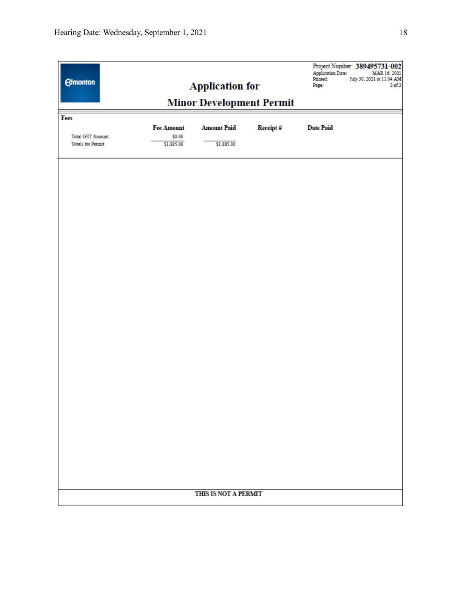| <b>Edmonton</b>           |                   | <b>Application for</b><br><b>Minor Development Permit</b> |          | Project Number: 389495731-002<br><b>Application Date:</b><br>MAR 16, 2021<br>July 30, 2021 at 11:04 AM<br>Printed:<br>$2$ of $2$<br>Page: |
|---------------------------|-------------------|-----------------------------------------------------------|----------|-------------------------------------------------------------------------------------------------------------------------------------------|
|                           |                   |                                                           |          |                                                                                                                                           |
| Fees                      | <b>Fee Amount</b> | <b>Amount Paid</b>                                        | Receipt# | <b>Date Paid</b>                                                                                                                          |
| <b>Total GST Amount:</b>  | \$0.00            |                                                           |          |                                                                                                                                           |
| <b>Totals for Permit:</b> | \$1,885.00        | \$1,885.00                                                |          |                                                                                                                                           |
|                           |                   |                                                           |          |                                                                                                                                           |
|                           |                   |                                                           |          |                                                                                                                                           |
|                           |                   |                                                           |          |                                                                                                                                           |
|                           |                   |                                                           |          |                                                                                                                                           |
|                           |                   |                                                           |          |                                                                                                                                           |
|                           |                   |                                                           |          |                                                                                                                                           |
|                           |                   |                                                           |          |                                                                                                                                           |
|                           |                   |                                                           |          |                                                                                                                                           |
|                           |                   |                                                           |          |                                                                                                                                           |
|                           |                   |                                                           |          |                                                                                                                                           |
|                           |                   |                                                           |          |                                                                                                                                           |
|                           |                   |                                                           |          |                                                                                                                                           |
|                           |                   |                                                           |          |                                                                                                                                           |
|                           |                   |                                                           |          |                                                                                                                                           |
|                           |                   |                                                           |          |                                                                                                                                           |
|                           |                   |                                                           |          |                                                                                                                                           |
|                           |                   |                                                           |          |                                                                                                                                           |
|                           |                   |                                                           |          |                                                                                                                                           |
|                           |                   |                                                           |          |                                                                                                                                           |
|                           |                   |                                                           |          |                                                                                                                                           |
|                           |                   |                                                           |          |                                                                                                                                           |
|                           |                   |                                                           |          |                                                                                                                                           |
|                           |                   |                                                           |          |                                                                                                                                           |
|                           |                   |                                                           |          |                                                                                                                                           |
|                           |                   |                                                           |          |                                                                                                                                           |
|                           |                   |                                                           |          |                                                                                                                                           |
|                           |                   |                                                           |          |                                                                                                                                           |
|                           |                   |                                                           |          |                                                                                                                                           |
|                           |                   |                                                           |          |                                                                                                                                           |
|                           |                   | THIS IS NOT A PERMIT                                      |          |                                                                                                                                           |
|                           |                   |                                                           |          |                                                                                                                                           |